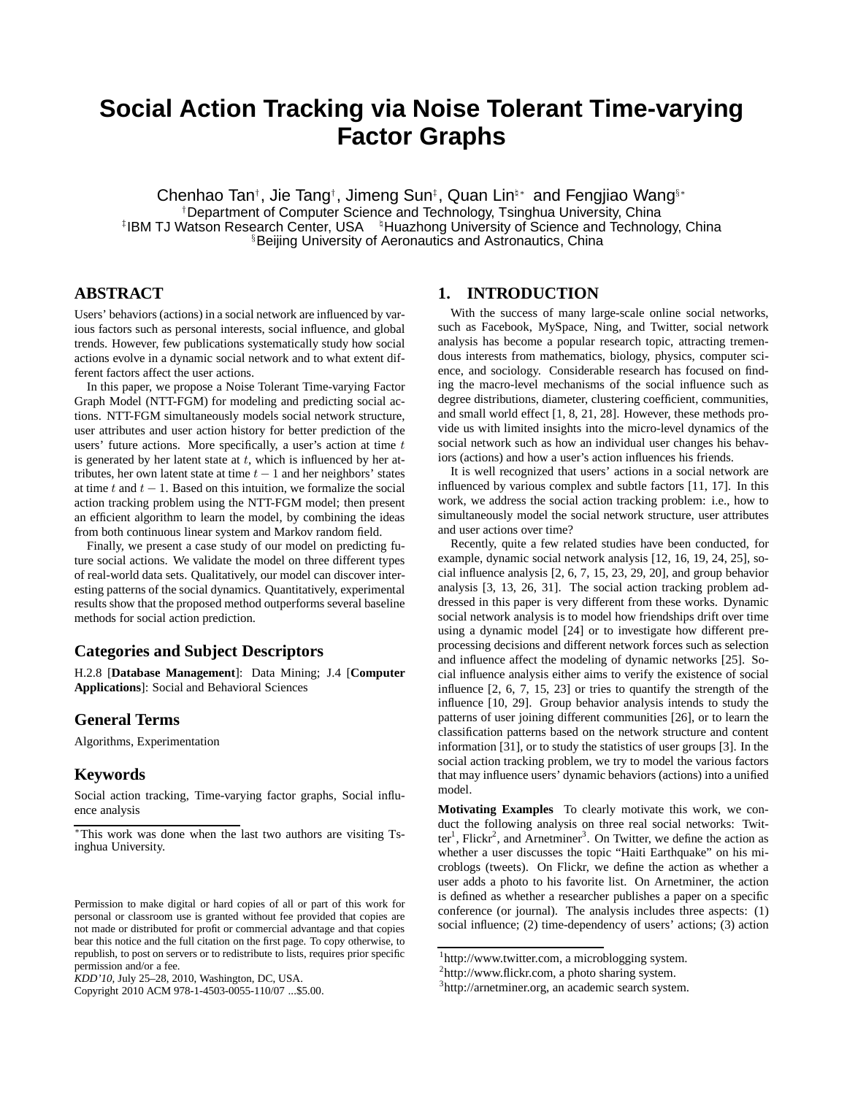# **Social Action Tracking via Noise Tolerant Time-varying Factor Graphs**

Chenhao Tan<sup>†</sup>, Jie Tang<sup>†</sup>, Jimeng Sun<sup>‡</sup>, Quan Lin<sup>‡∗</sup> and Fengjiao Wang<sup>§∗</sup> †Department of Computer Science and Technology, Tsinghua University, China ‡IBM TJ Watson Research Center, USA  $\;$  ʰHuazhong University of Science and Technology, China §Beijing University of Aeronautics and Astronautics, China

## **ABSTRACT**

Users' behaviors (actions) in a social network are influenced by various factors such as personal interests, social influence, and global trends. However, few publications systematically study how social actions evolve in a dynamic social network and to what extent different factors affect the user actions.

In this paper, we propose a Noise Tolerant Time-varying Factor Graph Model (NTT-FGM) for modeling and predicting social actions. NTT-FGM simultaneously models social network structure, user attributes and user action history for better prediction of the users' future actions. More specifically, a user's action at time  $t$ is generated by her latent state at  $t$ , which is influenced by her attributes, her own latent state at time  $t - 1$  and her neighbors' states at time t and  $t - 1$ . Based on this intuition, we formalize the social action tracking problem using the NTT-FGM model; then present an efficient algorithm to learn the model, by combining the ideas from both continuous linear system and Markov random field.

Finally, we present a case study of our model on predicting future social actions. We validate the model on three different types of real-world data sets. Qualitatively, our model can discover interesting patterns of the social dynamics. Quantitatively, experimental results show that the proposed method outperforms several baseline methods for social action prediction.

#### **Categories and Subject Descriptors**

H.2.8 [**Database Management**]: Data Mining; J.4 [**Computer Applications**]: Social and Behavioral Sciences

#### **General Terms**

Algorithms, Experimentation

#### **Keywords**

Social action tracking, Time-varying factor graphs, Social influence analysis

Copyright 2010 ACM 978-1-4503-0055-110/07 ...\$5.00.

### **1. INTRODUCTION**

With the success of many large-scale online social networks, such as Facebook, MySpace, Ning, and Twitter, social network analysis has become a popular research topic, attracting tremendous interests from mathematics, biology, physics, computer science, and sociology. Considerable research has focused on finding the macro-level mechanisms of the social influence such as degree distributions, diameter, clustering coefficient, communities, and small world effect [1, 8, 21, 28]. However, these methods provide us with limited insights into the micro-level dynamics of the social network such as how an individual user changes his behaviors (actions) and how a user's action influences his friends.

It is well recognized that users' actions in a social network are influenced by various complex and subtle factors [11, 17]. In this work, we address the social action tracking problem: i.e., how to simultaneously model the social network structure, user attributes and user actions over time?

Recently, quite a few related studies have been conducted, for example, dynamic social network analysis [12, 16, 19, 24, 25], social influence analysis [2, 6, 7, 15, 23, 29, 20], and group behavior analysis [3, 13, 26, 31]. The social action tracking problem addressed in this paper is very different from these works. Dynamic social network analysis is to model how friendships drift over time using a dynamic model [24] or to investigate how different preprocessing decisions and different network forces such as selection and influence affect the modeling of dynamic networks [25]. Social influence analysis either aims to verify the existence of social influence [2, 6, 7, 15, 23] or tries to quantify the strength of the influence [10, 29]. Group behavior analysis intends to study the patterns of user joining different communities [26], or to learn the classification patterns based on the network structure and content information [31], or to study the statistics of user groups [3]. In the social action tracking problem, we try to model the various factors that may influence users' dynamic behaviors (actions) into a unified model.

**Motivating Examples** To clearly motivate this work, we conduct the following analysis on three real social networks: Twitter<sup>1</sup>, Flickr<sup>2</sup>, and Arnetminer<sup>3</sup>. On Twitter, we define the action as whether a user discusses the topic "Haiti Earthquake" on his microblogs (tweets). On Flickr, we define the action as whether a user adds a photo to his favorite list. On Arnetminer, the action is defined as whether a researcher publishes a paper on a specific conference (or journal). The analysis includes three aspects: (1) social influence; (2) time-dependency of users' actions; (3) action

<sup>∗</sup>This work was done when the last two authors are visiting Tsinghua University.

Permission to make digital or hard copies of all or part of this work for personal or classroom use is granted without fee provided that copies are not made or distributed for profit or commercial advantage and that copies bear this notice and the full citation on the first page. To copy otherwise, to republish, to post on servers or to redistribute to lists, requires prior specific permission and/or a fee.

*KDD'10,* July 25–28, 2010, Washington, DC, USA.

<sup>&</sup>lt;sup>1</sup>http://www.twitter.com, a microblogging system.

<sup>&</sup>lt;sup>2</sup>http://www.flickr.com, a photo sharing system.

<sup>&</sup>lt;sup>3</sup>http://arnetminer.org, an academic search system.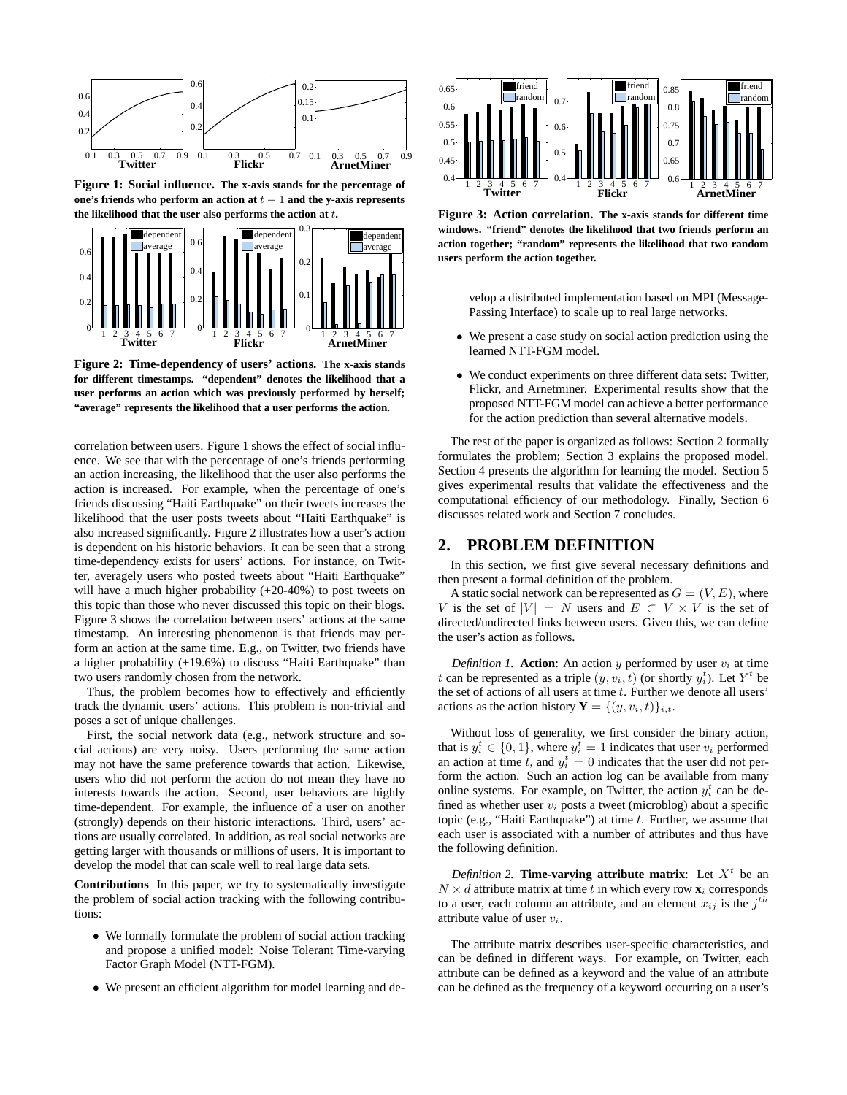

**Figure 1: Social influence. The x-axis stands for the percentage of one's friends who perform an action at** t − 1 **and the y-axis represents the likelihood that the user also performs the action at** t**.**



**Figure 2: Time-dependency of users' actions. The x-axis stands for different timestamps. "dependent" denotes the likelihood that a user performs an action which was previously performed by herself; "average" represents the likelihood that a user performs the action.**

correlation between users. Figure 1 shows the effect of social influence. We see that with the percentage of one's friends performing an action increasing, the likelihood that the user also performs the action is increased. For example, when the percentage of one's friends discussing "Haiti Earthquake" on their tweets increases the likelihood that the user posts tweets about "Haiti Earthquake" is also increased significantly. Figure 2 illustrates how a user's action is dependent on his historic behaviors. It can be seen that a strong time-dependency exists for users' actions. For instance, on Twitter, averagely users who posted tweets about "Haiti Earthquake" will have a much higher probability (+20-40%) to post tweets on this topic than those who never discussed this topic on their blogs. Figure 3 shows the correlation between users' actions at the same timestamp. An interesting phenomenon is that friends may perform an action at the same time. E.g., on Twitter, two friends have a higher probability (+19.6%) to discuss "Haiti Earthquake" than two users randomly chosen from the network.

Thus, the problem becomes how to effectively and efficiently track the dynamic users' actions. This problem is non-trivial and poses a set of unique challenges.

First, the social network data (e.g., network structure and social actions) are very noisy. Users performing the same action may not have the same preference towards that action. Likewise, users who did not perform the action do not mean they have no interests towards the action. Second, user behaviors are highly time-dependent. For example, the influence of a user on another (strongly) depends on their historic interactions. Third, users' actions are usually correlated. In addition, as real social networks are getting larger with thousands or millions of users. It is important to develop the model that can scale well to real large data sets.

**Contributions** In this paper, we try to systematically investigate the problem of social action tracking with the following contributions:

- We formally formulate the problem of social action tracking and propose a unified model: Noise Tolerant Time-varying Factor Graph Model (NTT-FGM).
- We present an efficient algorithm for model learning and de-



**Figure 3: Action correlation. The x-axis stands for different time windows. "friend" denotes the likelihood that two friends perform an action together; "random" represents the likelihood that two random users perform the action together.**

velop a distributed implementation based on MPI (Message-Passing Interface) to scale up to real large networks.

- We present a case study on social action prediction using the learned NTT-FGM model.
- We conduct experiments on three different data sets: Twitter, Flickr, and Arnetminer. Experimental results show that the proposed NTT-FGM model can achieve a better performance for the action prediction than several alternative models.

The rest of the paper is organized as follows: Section 2 formally formulates the problem; Section 3 explains the proposed model. Section 4 presents the algorithm for learning the model. Section 5 gives experimental results that validate the effectiveness and the computational efficiency of our methodology. Finally, Section 6 discusses related work and Section 7 concludes.

#### **2. PROBLEM DEFINITION**

In this section, we first give several necessary definitions and then present a formal definition of the problem.

A static social network can be represented as  $G = (V, E)$ , where V is the set of  $|V| = N$  users and  $E \subset V \times V$  is the set of directed/undirected links between users. Given this, we can define the user's action as follows.

*Definition 1.* **Action**: An action y performed by user  $v_i$  at time t can be represented as a triple  $(y, v_i, t)$  (or shortly  $y_i^t$ ). Let  $Y^t$  be the set of actions of all users at time  $t$ . Further we denote all users' actions as the action history **Y** = { $(y, v_i, t)$ } $_{i,t}$ .

Without loss of generality, we first consider the binary action, that is  $y_i^t \in \{0, 1\}$ , where  $y_i^t = 1$  indicates that user  $v_i$  performed an action at time t, and  $y_i^t = 0$  indicates that the user did not perform the action. Such an action log can be available from many online systems. For example, on Twitter, the action  $y_i^t$  can be defined as whether user  $v_i$  posts a tweet (microblog) about a specific topic (e.g., "Haiti Earthquake") at time  $t$ . Further, we assume that each user is associated with a number of attributes and thus have the following definition.

*Definition* 2. **Time-varying attribute matrix**: Let  $X<sup>t</sup>$  be an  $N \times d$  attribute matrix at time t in which every row  $\mathbf{x}_i$  corresponds to a user, each column an attribute, and an element  $x_{ij}$  is the  $j^{th}$ attribute value of user  $v_i$ .

The attribute matrix describes user-specific characteristics, and can be defined in different ways. For example, on Twitter, each attribute can be defined as a keyword and the value of an attribute can be defined as the frequency of a keyword occurring on a user's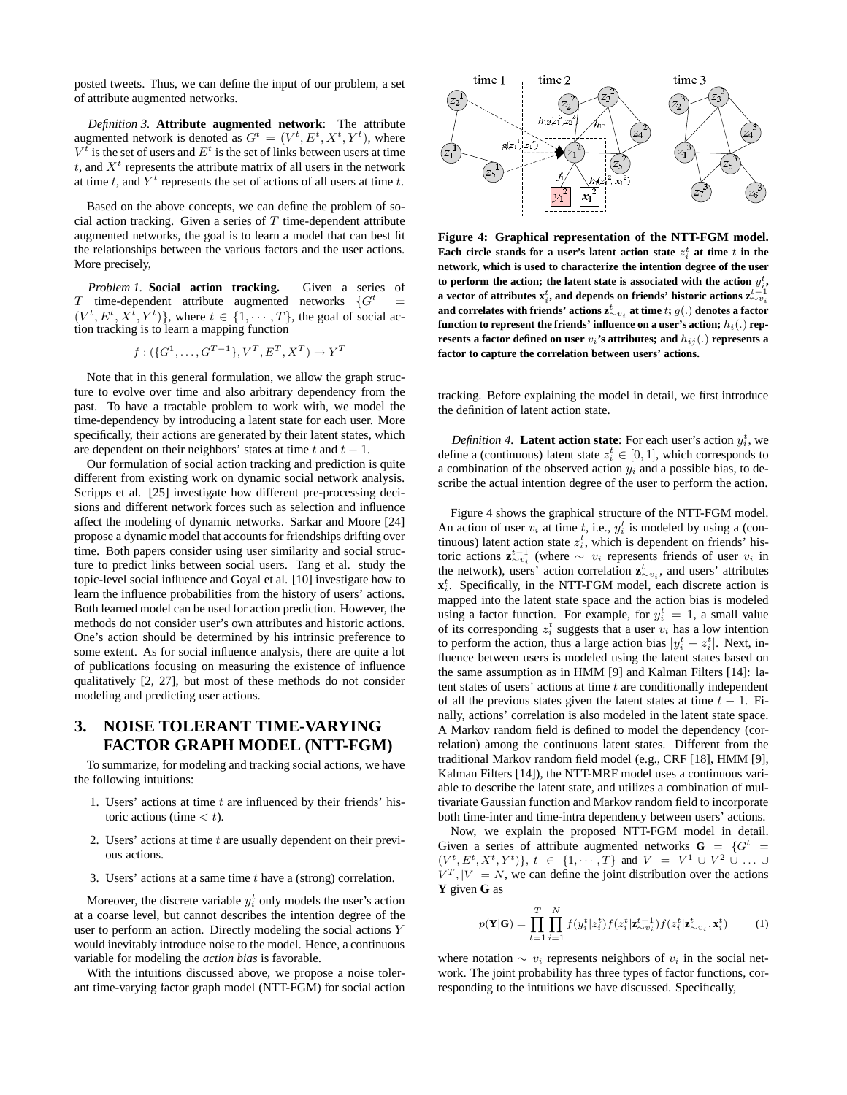posted tweets. Thus, we can define the input of our problem, a set of attribute augmented networks.

*Definition 3.* **Attribute augmented network**: The attribute augmented network is denoted as  $G^t = (V^t, E^t, X^t, Y^t)$ , where  $V^t$  is the set of users and  $E^t$  is the set of links between users at time t, and  $X<sup>t</sup>$  represents the attribute matrix of all users in the network at time t, and  $Y<sup>t</sup>$  represents the set of actions of all users at time t.

Based on the above concepts, we can define the problem of social action tracking. Given a series of  $T$  time-dependent attribute augmented networks, the goal is to learn a model that can best fit the relationships between the various factors and the user actions. More precisely,

*Problem 1.* **Social action tracking.** Given a series of T time-dependent attribute augmented networks  $\{G^t\}$  $=$  $(V^t, E^t, X^t, Y^t)$ , where  $t \in \{1, \cdots, T\}$ , the goal of social action tracking is to learn a mapping function

$$
f: (\{G^1, \ldots, G^{T-1}\}, V^T, E^T, X^T) \to Y^T
$$

Note that in this general formulation, we allow the graph structure to evolve over time and also arbitrary dependency from the past. To have a tractable problem to work with, we model the time-dependency by introducing a latent state for each user. More specifically, their actions are generated by their latent states, which are dependent on their neighbors' states at time t and  $t - 1$ .

Our formulation of social action tracking and prediction is quite different from existing work on dynamic social network analysis. Scripps et al. [25] investigate how different pre-processing decisions and different network forces such as selection and influence affect the modeling of dynamic networks. Sarkar and Moore [24] propose a dynamic model that accounts for friendships drifting over time. Both papers consider using user similarity and social structure to predict links between social users. Tang et al. study the topic-level social influence and Goyal et al. [10] investigate how to learn the influence probabilities from the history of users' actions. Both learned model can be used for action prediction. However, the methods do not consider user's own attributes and historic actions. One's action should be determined by his intrinsic preference to some extent. As for social influence analysis, there are quite a lot of publications focusing on measuring the existence of influence qualitatively [2, 27], but most of these methods do not consider modeling and predicting user actions.

## **3. NOISE TOLERANT TIME-VARYING FACTOR GRAPH MODEL (NTT-FGM)**

To summarize, for modeling and tracking social actions, we have the following intuitions:

- 1. Users' actions at time  $t$  are influenced by their friends' historic actions (time  $\lt t$ ).
- 2. Users' actions at time  $t$  are usually dependent on their previous actions.
- 3. Users' actions at a same time t have a (strong) correlation.

Moreover, the discrete variable  $y_i^t$  only models the user's action at a coarse level, but cannot describes the intention degree of the user to perform an action. Directly modeling the social actions Y would inevitably introduce noise to the model. Hence, a continuous variable for modeling the *action bias* is favorable.

With the intuitions discussed above, we propose a noise tolerant time-varying factor graph model (NTT-FGM) for social action



**Figure 4: Graphical representation of the NTT-FGM model.** Each circle stands for a user's latent action state  $z_i^t$  at time  $t$  in the **network, which is used to characterize the intention degree of the user** to perform the action; the latent state is associated with the action  $y_i^t,$ **a** vector of attributes  $\mathbf{x}_i^t$ , and depends on friends' historic actions  $\mathbf{z}_{\sim v_i}^{t-1}$ and correlates with friends' actions  $\mathbf{z}_{\sim v_i}^t$  at time  $t$ ;  $g(.)$  denotes a factor function to represent the friends' influence on a user's action;  $h_i(.)$  rep**resents a factor defined on user**  $v_i$ **'s attributes; and**  $h_{ij}$ . *represents a* **factor to capture the correlation between users' actions.**

tracking. Before explaining the model in detail, we first introduce the definition of latent action state.

*Definition 4.* **Latent action state**: For each user's action  $y_i^t$ , we define a (continuous) latent state  $z_i^t \in [0, 1]$ , which corresponds to a combination of the observed action  $y_i$  and a possible bias, to describe the actual intention degree of the user to perform the action.

Figure 4 shows the graphical structure of the NTT-FGM model. An action of user  $v_i$  at time t, i.e.,  $y_i^t$  is modeled by using a (continuous) latent action state  $z_i^t$ , which is dependent on friends' historic actions  $\mathbf{z}_{\sim v_i}^{t-1}$  (where  $\sim v_i$  represents friends of user  $v_i$  in the network), users' action correlation  $z_{\sim v_i}^t$ , and users' attributes  $\mathbf{x}_i^t$ . Specifically, in the NTT-FGM model, each discrete action is mapped into the latent state space and the action bias is modeled using a factor function. For example, for  $y_i^t = 1$ , a small value of its corresponding  $z_i^t$  suggests that a user  $v_i$  has a low intention to perform the action, thus a large action bias  $|y_i^t - z_i^t|$ . Next, influence between users is modeled using the latent states based on the same assumption as in HMM [9] and Kalman Filters [14]: latent states of users' actions at time  $t$  are conditionally independent of all the previous states given the latent states at time  $t - 1$ . Finally, actions' correlation is also modeled in the latent state space. A Markov random field is defined to model the dependency (correlation) among the continuous latent states. Different from the traditional Markov random field model (e.g., CRF [18], HMM [9], Kalman Filters [14]), the NTT-MRF model uses a continuous variable to describe the latent state, and utilizes a combination of multivariate Gaussian function and Markov random field to incorporate both time-inter and time-intra dependency between users' actions.

Now, we explain the proposed NTT-FGM model in detail. Given a series of attribute augmented networks  $G = \{G^t$  $(V^t_-, E^t, X^t, Y^t) \}, t \in \{1, \cdots, T\}$  and  $V = V^1 \cup V^2 \cup \cdots \cup$  $V^T$ ,  $|V| = N$ , we can define the joint distribution over the actions **Y** given **G** as

$$
p(\mathbf{Y}|\mathbf{G}) = \prod_{t=1}^{T} \prod_{i=1}^{N} f(y_i^t | z_i^t) f(z_i^t | \mathbf{z}_{\sim v_i}^{t-1}) f(z_i^t | \mathbf{z}_{\sim v_i}^t, \mathbf{x}_i^t)
$$
(1)

where notation  $\sim v_i$  represents neighbors of  $v_i$  in the social network. The joint probability has three types of factor functions, corresponding to the intuitions we have discussed. Specifically,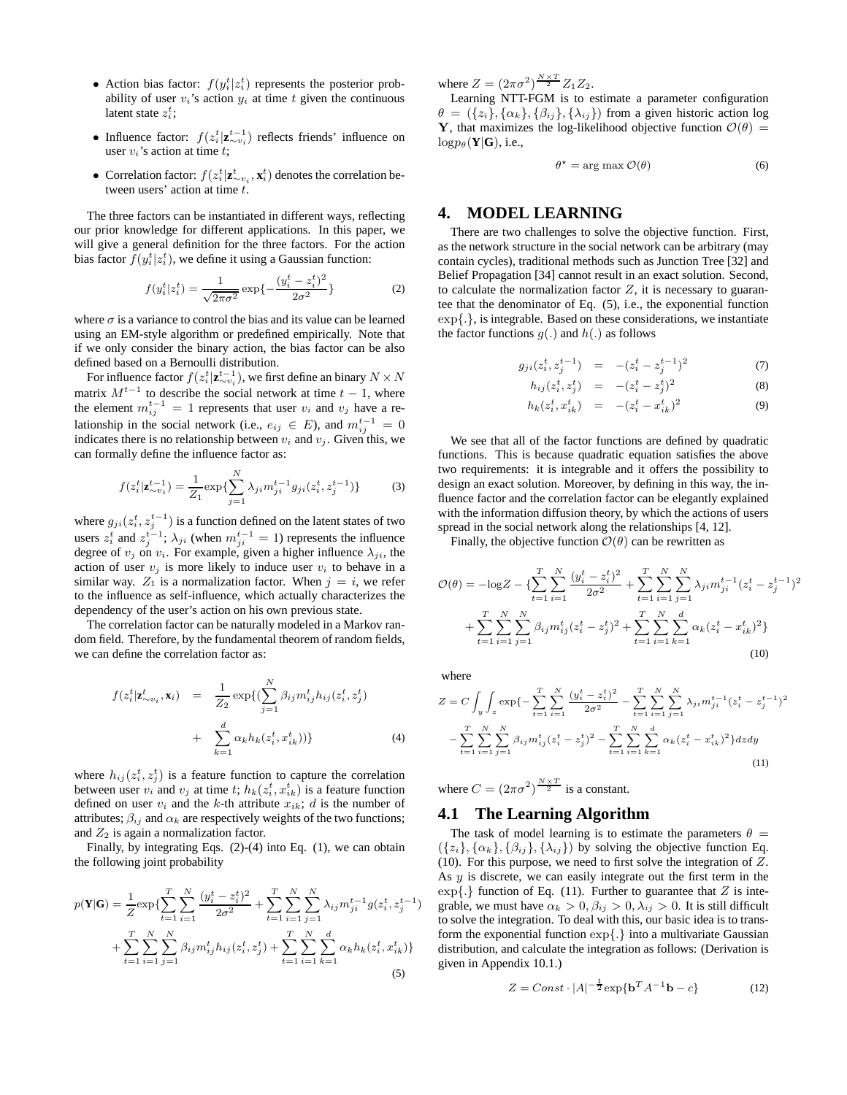- Action bias factor:  $f(y_i^t | z_i^t)$  represents the posterior probability of user  $v_i$ 's action  $y_i$  at time t given the continuous latent state  $z_i^t$ ;
- Influence factor:  $f(z_i^t | \mathbf{z}_{\sim v_i}^{t-1})$  reflects friends' influence on user  $v_i$ 's action at time t;
- Correlation factor:  $f(z_i^t | \mathbf{z}_{\sim v_i}^t, \mathbf{x}_i^t)$  denotes the correlation between users' action at time t.

The three factors can be instantiated in different ways, reflecting our prior knowledge for different applications. In this paper, we will give a general definition for the three factors. For the action bias factor  $\bar{f}(y_i^t | z_i^t)$ , we define it using a Gaussian function:

$$
f(y_i^t | z_i^t) = \frac{1}{\sqrt{2\pi\sigma^2}} \exp\left\{-\frac{(y_i^t - z_i^t)^2}{2\sigma^2}\right\}
$$
 (2)

where  $\sigma$  is a variance to control the bias and its value can be learned using an EM-style algorithm or predefined empirically. Note that if we only consider the binary action, the bias factor can be also defined based on a Bernoulli distribution.

For influence factor  $f(z_i^t | \mathbf{z}_{\sim v_i}^{t-1})$ , we first define an binary  $N \times N$ matrix  $M^{t-1}$  to describe the social network at time  $t-1$ , where the element  $m_{ij}^{t-1} = 1$  represents that user  $v_i$  and  $v_j$  have a relationship in the social network (i.e.,  $e_{ij} \in E$ ), and  $m_{ij}^{t-1} = 0$ indicates there is no relationship between  $v_i$  and  $v_j$ . Given this, we can formally define the influence factor as:

$$
f(z_i^t | \mathbf{z}_{\sim v_i}^{t-1}) = \frac{1}{Z_1} \exp\{\sum_{j=1}^N \lambda_{ji} m_{ji}^{t-1} g_{ji}(z_i^t, z_j^{t-1})\}
$$
(3)

where  $g_{ji}(z_i^t, z_j^{t-1})$  is a function defined on the latent states of two users  $z_i^t$  and  $z_j^{t-1}$ ;  $\lambda_{ji}$  (when  $m_{ji}^{t-1} = 1$ ) represents the influence degree of  $v_j$  on  $v_i$ . For example, given a higher influence  $\lambda_{ji}$ , the action of user  $v_j$  is more likely to induce user  $v_i$  to behave in a similar way.  $Z_1$  is a normalization factor. When  $j = i$ , we refer to the influence as self-influence, which actually characterizes the dependency of the user's action on his own previous state.

The correlation factor can be naturally modeled in a Markov random field. Therefore, by the fundamental theorem of random fields, we can define the correlation factor as:

$$
f(z_i^t | \mathbf{z}_{\sim v_i}^t, \mathbf{x}_i) = \frac{1}{Z_2} \exp\{(\sum_{j=1}^N \beta_{ij} m_{ij}^t h_{ij}(z_i^t, z_j^t) + \sum_{k=1}^d \alpha_k h_k(z_i^t, x_{ik}^t))\}
$$
(4)

where  $h_{ij}(z_i^t, z_j^t)$  is a feature function to capture the correlation between user  $v_i$  and  $v_j$  at time t;  $h_k(z_i^t, x_{ik}^t)$  is a feature function defined on user  $v_i$  and the k-th attribute  $x_{ik}$ ; d is the number of attributes;  $\beta_{ij}$  and  $\alpha_k$  are respectively weights of the two functions; and  $Z_2$  is again a normalization factor.

Finally, by integrating Eqs. (2)-(4) into Eq. (1), we can obtain the following joint probability

$$
p(\mathbf{Y}|\mathbf{G}) = \frac{1}{Z} \exp\{\sum_{t=1}^{T} \sum_{i=1}^{N} \frac{(y_i^t - z_i^t)^2}{2\sigma^2} + \sum_{t=1}^{T} \sum_{i=1}^{N} \sum_{j=1}^{N} \lambda_{ij} m_{ji}^{t-1} g(z_i^t, z_j^{t-1}) + \sum_{t=1}^{T} \sum_{i=1}^{N} \sum_{j=1}^{N} \beta_{ij} m_{ij}^t h_{ij}(z_i^t, z_j^t) + \sum_{t=1}^{T} \sum_{i=1}^{N} \sum_{k=1}^{d} \alpha_k h_k(z_i^t, x_{ik}^t)\}
$$
\n(5)

where  $Z = (2\pi\sigma^2)^{\frac{N \times T}{2}} Z_1 Z_2$ .

Learning NTT-FGM is to estimate a parameter configuration  $\theta = (\{z_i\}, \{\alpha_k\}, \{\beta_{ij}\}, \{\lambda_{ij}\})$  from a given historic action log Y, that maximizes the log-likelihood objective function  $\mathcal{O}(\theta)$  =  $log p_{\theta}(\mathbf{Y}|\mathbf{G})$ , i.e.,

$$
\theta^* = \arg \max \mathcal{O}(\theta) \tag{6}
$$

#### **4. MODEL LEARNING**

There are two challenges to solve the objective function. First, as the network structure in the social network can be arbitrary (may contain cycles), traditional methods such as Junction Tree [32] and Belief Propagation [34] cannot result in an exact solution. Second, to calculate the normalization factor  $Z$ , it is necessary to guarantee that the denominator of Eq. (5), i.e., the exponential function exp{.}, is integrable. Based on these considerations, we instantiate the factor functions  $g(.)$  and  $h(.)$  as follows

$$
g_{ji}(z_i^t, z_j^{t-1}) = -(z_i^t - z_j^{t-1})^2 \tag{7}
$$

$$
h_{ij}(z_i^t, z_j^t) = -(z_i^t - z_j^t)^2
$$
 (8)

$$
h_k(z_i^t, x_{ik}^t) = -(z_i^t - x_{ik}^t)^2
$$
\n(9)

We see that all of the factor functions are defined by quadratic functions. This is because quadratic equation satisfies the above two requirements: it is integrable and it offers the possibility to design an exact solution. Moreover, by defining in this way, the influence factor and the correlation factor can be elegantly explained with the information diffusion theory, by which the actions of users spread in the social network along the relationships [4, 12].

Finally, the objective function  $\mathcal{O}(\theta)$  can be rewritten as

$$
\mathcal{O}(\theta) = -\log Z - \left\{ \sum_{t=1}^{T} \sum_{i=1}^{N} \frac{(y_i^t - z_i^t)^2}{2\sigma^2} + \sum_{t=1}^{T} \sum_{i=1}^{N} \sum_{j=1}^{N} \lambda_{ji} m_{ji}^{t-1} (z_i^t - z_j^{t-1})^2 + \sum_{t=1}^{T} \sum_{i=1}^{N} \sum_{j=1}^{N} \beta_{ij} m_{ij}^t (z_i^t - z_j^t)^2 + \sum_{t=1}^{T} \sum_{i=1}^{N} \sum_{k=1}^{d} \alpha_k (z_i^t - x_{ik}^t)^2 \right\}
$$
\n
$$
(10)
$$

where

$$
Z = C \int_{y} \int_{z} \exp\{-\sum_{t=1}^{T} \sum_{i=1}^{N} \frac{(y_i^{t} - z_i^{t})^2}{2\sigma^2} - \sum_{t=1}^{T} \sum_{i=1}^{N} \sum_{j=1}^{N} \lambda_{ji} m_{ji}^{t-1} (z_i^{t} - z_j^{t-1})^2 - \sum_{t=1}^{T} \sum_{i=1}^{N} \sum_{j=1}^{N} \beta_{ij} m_{ij}^{t} (z_i^{t} - z_j^{t})^2 - \sum_{t=1}^{T} \sum_{i=1}^{N} \sum_{k=1}^{d} \alpha_k (z_i^{t} - x_{ik}^{t})^2 \} dz dy
$$
\n(1)

where  $C = (2\pi\sigma^2)^{\frac{N \times T}{2}}$  is a constant.

## **4.1 The Learning Algorithm**

The task of model learning is to estimate the parameters  $\theta =$  $({z_i}, {\alpha_k}, {\beta_{ij}}, {\lambda_{ij}})$  by solving the objective function Eq. (10). For this purpose, we need to first solve the integration of Z. As  $y$  is discrete, we can easily integrate out the first term in the  $\exp\{.\}$  function of Eq. (11). Further to guarantee that Z is integrable, we must have  $\alpha_k > 0$ ,  $\beta_{ij} > 0$ ,  $\lambda_{ij} > 0$ . It is still difficult to solve the integration. To deal with this, our basic idea is to transform the exponential function  $\exp\{.\}$  into a multivariate Gaussian distribution, and calculate the integration as follows: (Derivation is given in Appendix 10.1.)

$$
Z = Const \cdot |A|^{-\frac{1}{2}} \exp{\{\mathbf{b}^T A^{-1} \mathbf{b} - c\}} \tag{12}
$$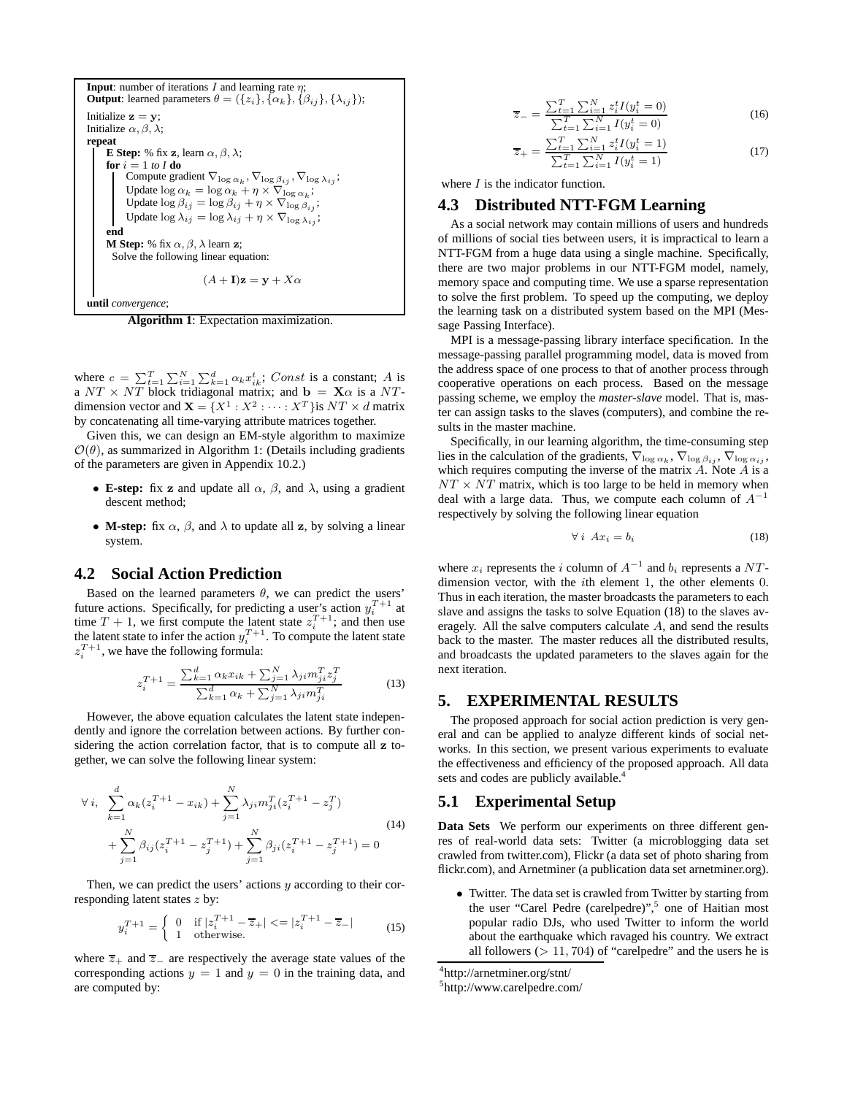| <b>Input:</b> number of iterations I and learning rate $\eta$ ;<br><b>Output</b> : learned parameters $\theta = (\{z_i\}, \{\alpha_k\}, \{\beta_{ij}\}, \{\lambda_{ij}\})$ ; |
|------------------------------------------------------------------------------------------------------------------------------------------------------------------------------|
| Initialize $z = y$ ;                                                                                                                                                         |
| Initialize $\alpha$ , $\beta$ , $\lambda$ ;                                                                                                                                  |
| repeat                                                                                                                                                                       |
| <b>E</b> Step: % fix z, learn $\alpha$ , $\beta$ , $\lambda$ ;                                                                                                               |
| for $i = 1$ to I do                                                                                                                                                          |
| Compute gradient $\nabla_{\log \alpha_k}$ , $\nabla_{\log \beta_{ij}}$ , $\nabla_{\log \lambda_{ij}}$ ;                                                                      |
| Update $\log \alpha_k = \log \alpha_k + \eta \times \nabla_{\log \alpha_k};$                                                                                                 |
| Update $\log \beta_{ij} = \log \beta_{ij} + \eta \times \nabla_{\log \beta_{ij}}$ ;                                                                                          |
| Update $\log \lambda_{ij} = \log \lambda_{ij} + \eta \times \nabla_{\log \lambda_{ij}}$ ;                                                                                    |
| end                                                                                                                                                                          |
| <b>M</b> Step: % fix $\alpha$ , $\beta$ , $\lambda$ learn <b>z</b> ;                                                                                                         |
| Solve the following linear equation:                                                                                                                                         |
|                                                                                                                                                                              |
| $(A + I)\mathbf{z} = \mathbf{y} + X\alpha$                                                                                                                                   |
| <b>until</b> convergence:                                                                                                                                                    |

**Algorithm 1**: Expectation maximization.

where  $c = \sum_{t=1}^{T} \sum_{i=1}^{N} \sum_{k=1}^{d} \alpha_k x_{ik}^t$ ; Const is a constant; A is a  $NT \times NT$  block tridiagonal matrix; and  $\mathbf{b} = \mathbf{X}\alpha$  is a NTdimension vector and  $X = \{X^1 : X^2 : \cdots : X^T\}$  is  $NT \times d$  matrix by concatenating all time-varying attribute matrices together.

Given this, we can design an EM-style algorithm to maximize  $\mathcal{O}(\theta)$ , as summarized in Algorithm 1: (Details including gradients of the parameters are given in Appendix 10.2.)

- **E-step:** fix z and update all  $\alpha$ ,  $\beta$ , and  $\lambda$ , using a gradient descent method;
- **M-step:** fix  $\alpha$ ,  $\beta$ , and  $\lambda$  to update all **z**, by solving a linear system.

#### **4.2 Social Action Prediction**

Based on the learned parameters  $\theta$ , we can predict the users' future actions. Specifically, for predicting a user's action  $y_i^{T+1}$  at time  $T + 1$ , we first compute the latent state  $z_i^{T+1}$ ; and then use the latent state to infer the action  $y_i^{T+1}$ . To compute the latent state  $z_i^{T+1}$ , we have the following formula:

$$
z_i^{T+1} = \frac{\sum_{k=1}^d \alpha_k x_{ik} + \sum_{j=1}^N \lambda_{ji} m_{ji}^T z_j^T}{\sum_{k=1}^d \alpha_k + \sum_{j=1}^N \lambda_{ji} m_{ji}^T}
$$
(13)

However, the above equation calculates the latent state independently and ignore the correlation between actions. By further considering the action correlation factor, that is to compute all z together, we can solve the following linear system:

$$
\forall i, \sum_{k=1}^{d} \alpha_k (z_i^{T+1} - x_{ik}) + \sum_{j=1}^{N} \lambda_{ji} m_{ji}^{T} (z_i^{T+1} - z_j^{T})
$$
  
+ 
$$
\sum_{j=1}^{N} \beta_{ij} (z_i^{T+1} - z_j^{T+1}) + \sum_{j=1}^{N} \beta_{ji} (z_i^{T+1} - z_j^{T+1}) = 0
$$
 (14)

Then, we can predict the users' actions  $y$  according to their corresponding latent states z by:

$$
y_i^{T+1} = \begin{cases} 0 & \text{if } |z_i^{T+1} - \overline{z}_+| <= |z_i^{T+1} - \overline{z}_-| \\ 1 & \text{otherwise.} \end{cases}
$$
(15)

where  $\overline{z}_{+}$  and  $\overline{z}_{-}$  are respectively the average state values of the corresponding actions  $y = 1$  and  $y = 0$  in the training data, and are computed by:

$$
\overline{z}_{-} = \frac{\sum_{t=1}^{T} \sum_{i=1}^{N} z_{i}^{t} I(y_{i}^{t} = 0)}{\sum_{t=1}^{T} \sum_{i=1}^{N} I(y_{i}^{t} = 0)}
$$
(16)

$$
\overline{z}_{+} = \frac{\sum_{t=1}^{T} \sum_{i=1}^{N} z_{i}^{t} I(y_{i}^{t} = 1)}{\sum_{t=1}^{T} \sum_{i=1}^{N} I(y_{i}^{t} = 1)}
$$
(17)

where  $I$  is the indicator function.

## **4.3 Distributed NTT-FGM Learning**

As a social network may contain millions of users and hundreds of millions of social ties between users, it is impractical to learn a NTT-FGM from a huge data using a single machine. Specifically, there are two major problems in our NTT-FGM model, namely, memory space and computing time. We use a sparse representation to solve the first problem. To speed up the computing, we deploy the learning task on a distributed system based on the MPI (Message Passing Interface).

MPI is a message-passing library interface specification. In the message-passing parallel programming model, data is moved from the address space of one process to that of another process through cooperative operations on each process. Based on the message passing scheme, we employ the *master-slave* model. That is, master can assign tasks to the slaves (computers), and combine the results in the master machine.

Specifically, in our learning algorithm, the time-consuming step lies in the calculation of the gradients,  $\nabla_{\log \alpha_k}$ ,  $\nabla_{\log \beta_{ij}}$ ,  $\nabla_{\log \alpha_{ij}}$ , which requires computing the inverse of the matrix  $A$ . Note  $A$  is a  $NT \times NT$  matrix, which is too large to be held in memory when deal with a large data. Thus, we compute each column of  $A^{-1}$ respectively by solving the following linear equation

$$
\forall i \; Ax_i = b_i \tag{18}
$$

where  $x_i$  represents the i column of  $A^{-1}$  and  $b_i$  represents a NTdimension vector, with the ith element 1, the other elements 0. Thus in each iteration, the master broadcasts the parameters to each slave and assigns the tasks to solve Equation (18) to the slaves averagely. All the salve computers calculate A, and send the results back to the master. The master reduces all the distributed results, and broadcasts the updated parameters to the slaves again for the next iteration.

#### **5. EXPERIMENTAL RESULTS**

The proposed approach for social action prediction is very general and can be applied to analyze different kinds of social networks. In this section, we present various experiments to evaluate the effectiveness and efficiency of the proposed approach. All data sets and codes are publicly available.<sup>4</sup>

#### **5.1 Experimental Setup**

**Data Sets** We perform our experiments on three different genres of real-world data sets: Twitter (a microblogging data set crawled from twitter.com), Flickr (a data set of photo sharing from flickr.com), and Arnetminer (a publication data set arnetminer.org).

• Twitter. The data set is crawled from Twitter by starting from the user "Carel Pedre (carelpedre)",<sup>5</sup> one of Haitian most popular radio DJs, who used Twitter to inform the world about the earthquake which ravaged his country. We extract all followers  $(1, 704)$  of "carelpedre" and the users he is

<sup>4</sup> http://arnetminer.org/stnt/

<sup>5</sup> http://www.carelpedre.com/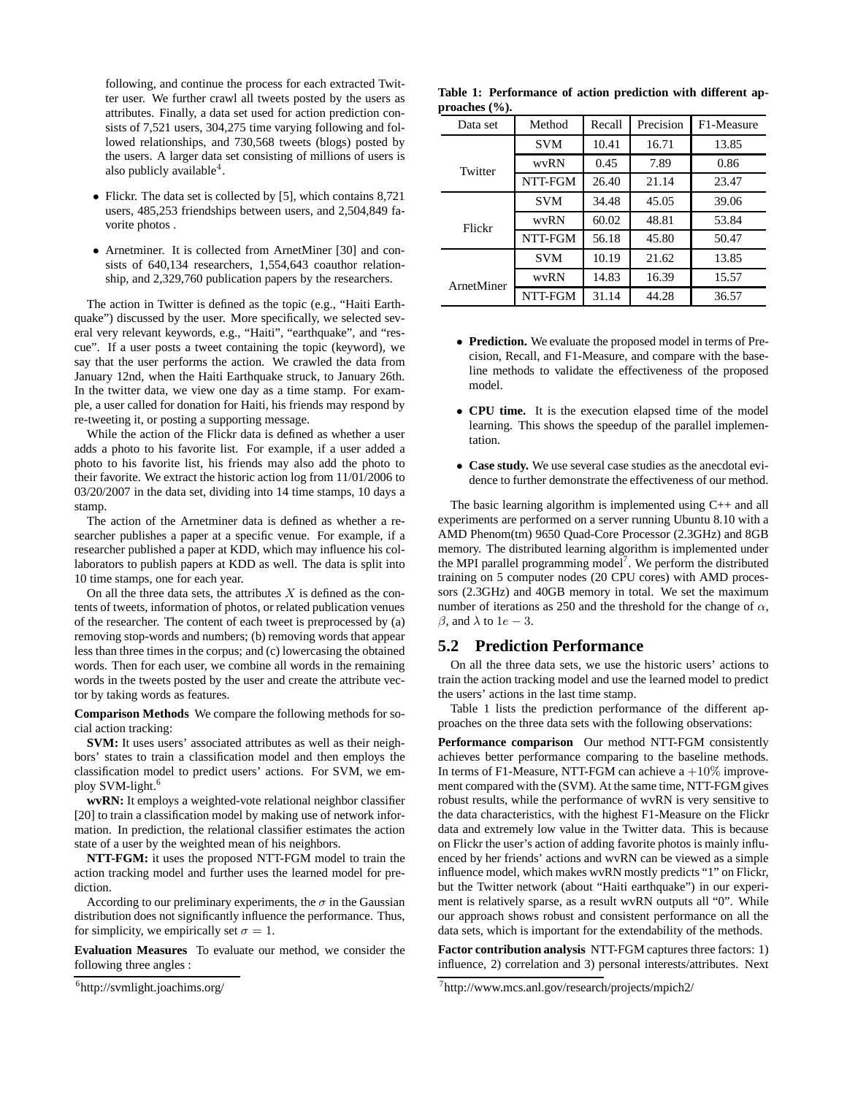following, and continue the process for each extracted Twitter user. We further crawl all tweets posted by the users as attributes. Finally, a data set used for action prediction consists of 7,521 users, 304,275 time varying following and followed relationships, and 730,568 tweets (blogs) posted by the users. A larger data set consisting of millions of users is also publicly available $^4$ .

- Flickr. The data set is collected by [5], which contains 8,721 users, 485,253 friendships between users, and 2,504,849 favorite photos .
- Arnetminer. It is collected from ArnetMiner [30] and consists of 640,134 researchers, 1,554,643 coauthor relationship, and 2,329,760 publication papers by the researchers.

The action in Twitter is defined as the topic (e.g., "Haiti Earthquake") discussed by the user. More specifically, we selected several very relevant keywords, e.g., "Haiti", "earthquake", and "rescue". If a user posts a tweet containing the topic (keyword), we say that the user performs the action. We crawled the data from January 12nd, when the Haiti Earthquake struck, to January 26th. In the twitter data, we view one day as a time stamp. For example, a user called for donation for Haiti, his friends may respond by re-tweeting it, or posting a supporting message.

While the action of the Flickr data is defined as whether a user adds a photo to his favorite list. For example, if a user added a photo to his favorite list, his friends may also add the photo to their favorite. We extract the historic action log from 11/01/2006 to 03/20/2007 in the data set, dividing into 14 time stamps, 10 days a stamp.

The action of the Arnetminer data is defined as whether a researcher publishes a paper at a specific venue. For example, if a researcher published a paper at KDD, which may influence his collaborators to publish papers at KDD as well. The data is split into 10 time stamps, one for each year.

On all the three data sets, the attributes  $X$  is defined as the contents of tweets, information of photos, or related publication venues of the researcher. The content of each tweet is preprocessed by (a) removing stop-words and numbers; (b) removing words that appear less than three times in the corpus; and (c) lowercasing the obtained words. Then for each user, we combine all words in the remaining words in the tweets posted by the user and create the attribute vector by taking words as features.

**Comparison Methods** We compare the following methods for social action tracking:

**SVM:** It uses users' associated attributes as well as their neighbors' states to train a classification model and then employs the classification model to predict users' actions. For SVM, we employ SVM-light.<sup>6</sup>

**wvRN:** It employs a weighted-vote relational neighbor classifier [20] to train a classification model by making use of network information. In prediction, the relational classifier estimates the action state of a user by the weighted mean of his neighbors.

**NTT-FGM:** it uses the proposed NTT-FGM model to train the action tracking model and further uses the learned model for prediction.

According to our preliminary experiments, the  $\sigma$  in the Gaussian distribution does not significantly influence the performance. Thus, for simplicity, we empirically set  $\sigma = 1$ .

**Evaluation Measures** To evaluate our method, we consider the following three angles :

**Table 1: Performance of action prediction with different approaches (%).**

| Data set   | Method     | Recall | Precision | F1-Measure |
|------------|------------|--------|-----------|------------|
|            | <b>SVM</b> | 10.41  | 16.71     | 13.85      |
| Twitter    | wyRN       | 0.45   | 7.89      | 0.86       |
|            | NTT-FGM    | 26.40  | 21.14     | 23.47      |
|            | <b>SVM</b> | 34.48  | 45.05     | 39.06      |
| Flickr     | wyRN       | 60.02  | 48.81     | 53.84      |
|            | NTT-FGM    | 56.18  | 45.80     | 50.47      |
|            | <b>SVM</b> | 10.19  | 21.62     | 13.85      |
| ArnetMiner | wvRN       | 14.83  | 16.39     | 15.57      |
|            | NTT-FGM    | 31.14  | 44.28     | 36.57      |

- **Prediction.** We evaluate the proposed model in terms of Precision, Recall, and F1-Measure, and compare with the baseline methods to validate the effectiveness of the proposed model.
- **CPU time.** It is the execution elapsed time of the model learning. This shows the speedup of the parallel implementation.
- **Case study.** We use several case studies as the anecdotal evidence to further demonstrate the effectiveness of our method.

The basic learning algorithm is implemented using C++ and all experiments are performed on a server running Ubuntu 8.10 with a AMD Phenom(tm) 9650 Quad-Core Processor (2.3GHz) and 8GB memory. The distributed learning algorithm is implemented under the MPI parallel programming model<sup>7</sup>. We perform the distributed training on 5 computer nodes (20 CPU cores) with AMD processors (2.3GHz) and 40GB memory in total. We set the maximum number of iterations as 250 and the threshold for the change of  $\alpha$ , β, and  $\lambda$  to 1e – 3.

#### **5.2 Prediction Performance**

On all the three data sets, we use the historic users' actions to train the action tracking model and use the learned model to predict the users' actions in the last time stamp.

Table 1 lists the prediction performance of the different approaches on the three data sets with the following observations:

**Performance comparison** Our method NTT-FGM consistently achieves better performance comparing to the baseline methods. In terms of F1-Measure, NTT-FGM can achieve a  $+10\%$  improvement compared with the (SVM). At the same time, NTT-FGM gives robust results, while the performance of wvRN is very sensitive to the data characteristics, with the highest F1-Measure on the Flickr data and extremely low value in the Twitter data. This is because on Flickr the user's action of adding favorite photos is mainly influenced by her friends' actions and wvRN can be viewed as a simple influence model, which makes wvRN mostly predicts "1" on Flickr, but the Twitter network (about "Haiti earthquake") in our experiment is relatively sparse, as a result wvRN outputs all "0". While our approach shows robust and consistent performance on all the data sets, which is important for the extendability of the methods.

**Factor contribution analysis** NTT-FGM captures three factors: 1) influence, 2) correlation and 3) personal interests/attributes. Next

<sup>6</sup> http://svmlight.joachims.org/

<sup>7</sup> http://www.mcs.anl.gov/research/projects/mpich2/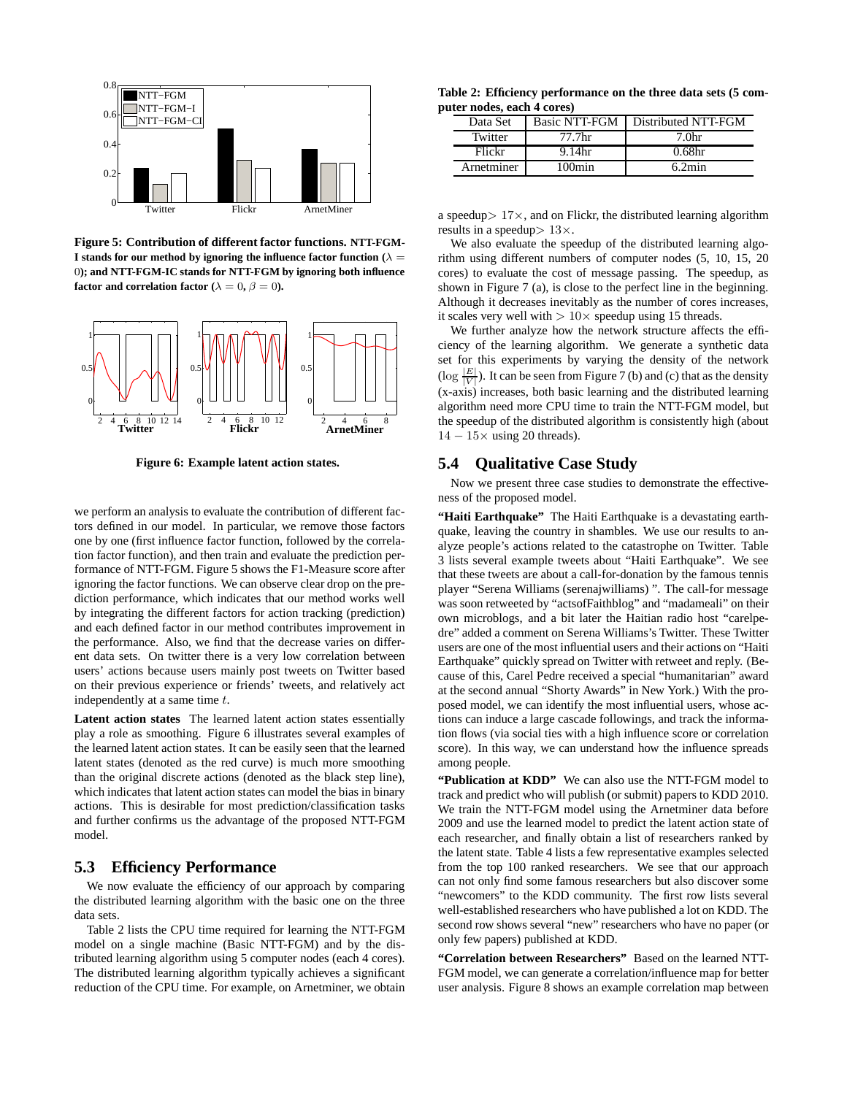

**Figure 5: Contribution of different factor functions. NTT-FGM-I** stands for our method by ignoring the influence factor function ( $\lambda =$ 0**); and NTT-FGM-IC stands for NTT-FGM by ignoring both influence factor and correlation factor**  $(\lambda = 0, \beta = 0)$ .



**Figure 6: Example latent action states.**

we perform an analysis to evaluate the contribution of different factors defined in our model. In particular, we remove those factors one by one (first influence factor function, followed by the correlation factor function), and then train and evaluate the prediction performance of NTT-FGM. Figure 5 shows the F1-Measure score after ignoring the factor functions. We can observe clear drop on the prediction performance, which indicates that our method works well by integrating the different factors for action tracking (prediction) and each defined factor in our method contributes improvement in the performance. Also, we find that the decrease varies on different data sets. On twitter there is a very low correlation between users' actions because users mainly post tweets on Twitter based on their previous experience or friends' tweets, and relatively act independently at a same time  $t$ .

**Latent action states** The learned latent action states essentially play a role as smoothing. Figure 6 illustrates several examples of the learned latent action states. It can be easily seen that the learned latent states (denoted as the red curve) is much more smoothing than the original discrete actions (denoted as the black step line), which indicates that latent action states can model the bias in binary actions. This is desirable for most prediction/classification tasks and further confirms us the advantage of the proposed NTT-FGM model.

#### **5.3 Efficiency Performance**

We now evaluate the efficiency of our approach by comparing the distributed learning algorithm with the basic one on the three data sets.

Table 2 lists the CPU time required for learning the NTT-FGM model on a single machine (Basic NTT-FGM) and by the distributed learning algorithm using 5 computer nodes (each 4 cores). The distributed learning algorithm typically achieves a significant reduction of the CPU time. For example, on Arnetminer, we obtain

**Table 2: Efficiency performance on the three data sets (5 computer nodes, each 4 cores)**

| Data Set   | <b>Basic NTT-FGM</b> | Distributed NTT-FGM |
|------------|----------------------|---------------------|
| Twitter    | 77.7hr               | 7.0hr               |
| Flickr     | 9.14 <sub>hr</sub>   | 0.68 <sub>hr</sub>  |
| Arnetminer | 100min               | 6.2min              |

a speedup  $> 17 \times$ , and on Flickr, the distributed learning algorithm results in a speedup  $> 13 \times$ .

We also evaluate the speedup of the distributed learning algorithm using different numbers of computer nodes (5, 10, 15, 20 cores) to evaluate the cost of message passing. The speedup, as shown in Figure 7 (a), is close to the perfect line in the beginning. Although it decreases inevitably as the number of cores increases, it scales very well with  $> 10 \times$  speedup using 15 threads.

We further analyze how the network structure affects the efficiency of the learning algorithm. We generate a synthetic data set for this experiments by varying the density of the network  $(\log \frac{|E|}{|V|})$ . It can be seen from Figure 7 (b) and (c) that as the density (x-axis) increases, both basic learning and the distributed learning algorithm need more CPU time to train the NTT-FGM model, but the speedup of the distributed algorithm is consistently high (about  $14 - 15 \times$  using 20 threads).

#### **5.4 Qualitative Case Study**

Now we present three case studies to demonstrate the effectiveness of the proposed model.

**"Haiti Earthquake"** The Haiti Earthquake is a devastating earthquake, leaving the country in shambles. We use our results to analyze people's actions related to the catastrophe on Twitter. Table 3 lists several example tweets about "Haiti Earthquake". We see that these tweets are about a call-for-donation by the famous tennis player "Serena Williams (serenajwilliams) ". The call-for message was soon retweeted by "actsofFaithblog" and "madameali" on their own microblogs, and a bit later the Haitian radio host "carelpedre" added a comment on Serena Williams's Twitter. These Twitter users are one of the most influential users and their actions on "Haiti Earthquake" quickly spread on Twitter with retweet and reply. (Because of this, Carel Pedre received a special "humanitarian" award at the second annual "Shorty Awards" in New York.) With the proposed model, we can identify the most influential users, whose actions can induce a large cascade followings, and track the information flows (via social ties with a high influence score or correlation score). In this way, we can understand how the influence spreads among people.

**"Publication at KDD"** We can also use the NTT-FGM model to track and predict who will publish (or submit) papers to KDD 2010. We train the NTT-FGM model using the Arnetminer data before 2009 and use the learned model to predict the latent action state of each researcher, and finally obtain a list of researchers ranked by the latent state. Table 4 lists a few representative examples selected from the top 100 ranked researchers. We see that our approach can not only find some famous researchers but also discover some "newcomers" to the KDD community. The first row lists several well-established researchers who have published a lot on KDD. The second row shows several "new" researchers who have no paper (or only few papers) published at KDD.

**"Correlation between Researchers"** Based on the learned NTT-FGM model, we can generate a correlation/influence map for better user analysis. Figure 8 shows an example correlation map between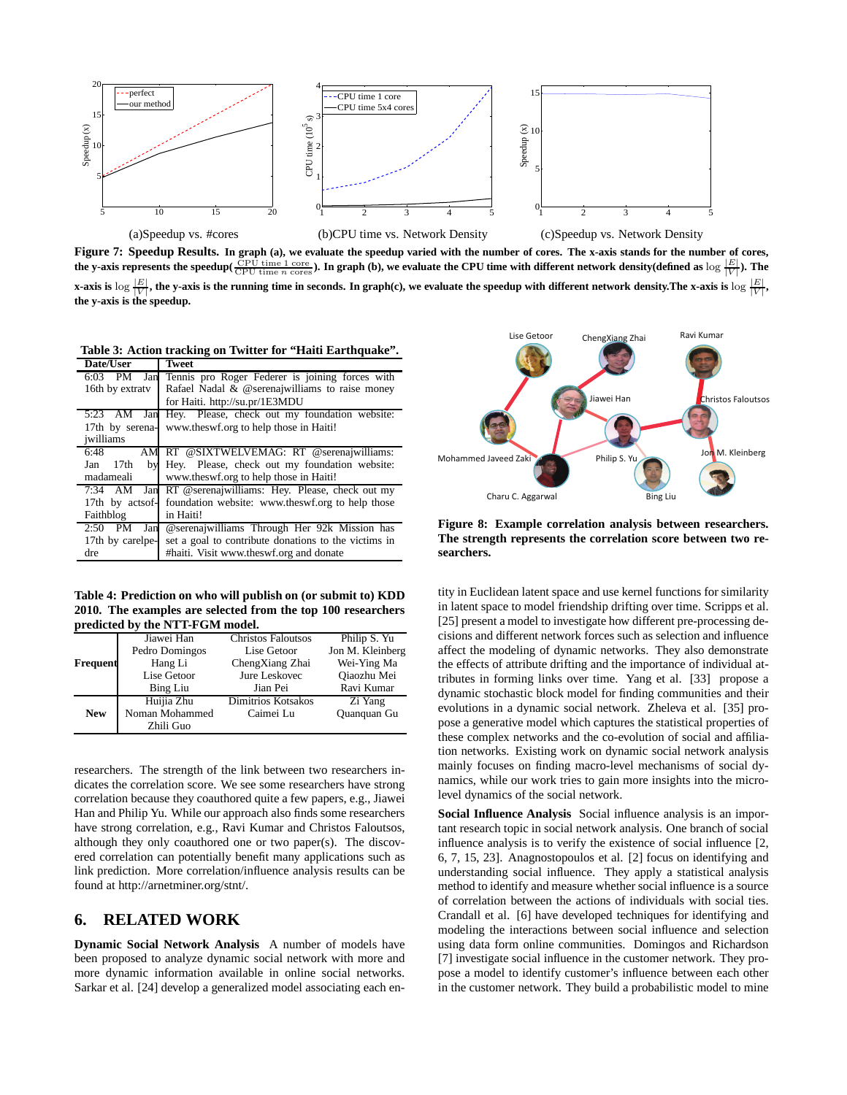

**Figure 7: Speedup Results. In graph (a), we evaluate the speedup varied with the number of cores. The x-axis stands for the number of cores,** the y-axis represents the speedup( $\frac{\text{CPU time 1 core}}{\text{CPU time n cores}}$ ). In graph (b), we evaluate the CPU time with different network density(defined as  $\log \frac{|E|}{|V|}$ ). The **x-axis is**  $\log \frac{|E|}{|V|}$ , the y-axis is the running time in seconds. In graph(c), we evaluate the speedup with different network density.The x-axis is  $\log \frac{|E|}{|V|}$ , **the y-axis is the speedup.**

#### **Table 3: Action tracking on Twitter for "Haiti Earthquake".**

| Date/User         | <b>Tweet</b>                                              |
|-------------------|-----------------------------------------------------------|
| $6:03$ PM<br>Jan  | Tennis pro Roger Federer is joining forces with           |
| 16th by extraty   | Rafael Nadal & @serenajwilliams to raise money            |
|                   | for Haiti. http://su.pr/1E3MDU                            |
|                   | 5:23 AM Jan Hey. Please, check out my foundation website: |
| 17th by serena-   | www.theswf.org to help those in Haiti!                    |
| jwilliams         |                                                           |
| 6:48<br>AM        | RT @SIXTWELVEMAG: RT @serenajwilliams:                    |
| 17th<br>Jan<br>by | Please, check out my foundation website:<br>Hev.          |
| madameali         | www.theswf.org to help those in Haiti!                    |
| 7:34 AM           | Jan RT @serenajwilliams: Hey. Please, check out my        |
| 17th by actsof-   | foundation website: www.theswf.org to help those          |
| Faithblog         | in Haiti!                                                 |
| $2:50$ PM<br>Jan  | @serenajwilliams Through Her 92k Mission has              |
| 17th by carelpe-  | set a goal to contribute donations to the victims in      |
| dre               | #haiti. Visit www.theswf.org and donate                   |

**Table 4: Prediction on who will publish on (or submit to) KDD 2010. The examples are selected from the top 100 researchers predicted by the NTT-FGM model.**

|            | Jiawei Han     | Christos Faloutsos | Philip S. Yu     |
|------------|----------------|--------------------|------------------|
|            | Pedro Domingos | Lise Getoor        | Jon M. Kleinberg |
| Frequent   | Hang Li        | ChengXiang Zhai    | Wei-Ying Ma      |
|            | Lise Getoor    | Jure Leskovec      | Qiaozhu Mei      |
|            | Bing Liu       | Jian Pei           | Ravi Kumar       |
|            | Huijia Zhu     | Dimitrios Kotsakos | Zi Yang          |
| <b>New</b> | Noman Mohammed | Caimei Lu          | Quanquan Gu      |
|            | Zhili Guo      |                    |                  |
|            |                |                    |                  |

researchers. The strength of the link between two researchers indicates the correlation score. We see some researchers have strong correlation because they coauthored quite a few papers, e.g., Jiawei Han and Philip Yu. While our approach also finds some researchers have strong correlation, e.g., Ravi Kumar and Christos Faloutsos, although they only coauthored one or two paper(s). The discovered correlation can potentially benefit many applications such as link prediction. More correlation/influence analysis results can be found at http://arnetminer.org/stnt/.

## **6. RELATED WORK**

**Dynamic Social Network Analysis** A number of models have been proposed to analyze dynamic social network with more and more dynamic information available in online social networks. Sarkar et al. [24] develop a generalized model associating each en-



**Figure 8: Example correlation analysis between researchers. The strength represents the correlation score between two researchers.**

tity in Euclidean latent space and use kernel functions for similarity in latent space to model friendship drifting over time. Scripps et al. [25] present a model to investigate how different pre-processing decisions and different network forces such as selection and influence affect the modeling of dynamic networks. They also demonstrate the effects of attribute drifting and the importance of individual attributes in forming links over time. Yang et al. [33] propose a dynamic stochastic block model for finding communities and their evolutions in a dynamic social network. Zheleva et al. [35] propose a generative model which captures the statistical properties of these complex networks and the co-evolution of social and affiliation networks. Existing work on dynamic social network analysis mainly focuses on finding macro-level mechanisms of social dynamics, while our work tries to gain more insights into the microlevel dynamics of the social network.

**Social Influence Analysis** Social influence analysis is an important research topic in social network analysis. One branch of social influence analysis is to verify the existence of social influence [2, 6, 7, 15, 23]. Anagnostopoulos et al. [2] focus on identifying and understanding social influence. They apply a statistical analysis method to identify and measure whether social influence is a source of correlation between the actions of individuals with social ties. Crandall et al. [6] have developed techniques for identifying and modeling the interactions between social influence and selection using data form online communities. Domingos and Richardson [7] investigate social influence in the customer network. They propose a model to identify customer's influence between each other in the customer network. They build a probabilistic model to mine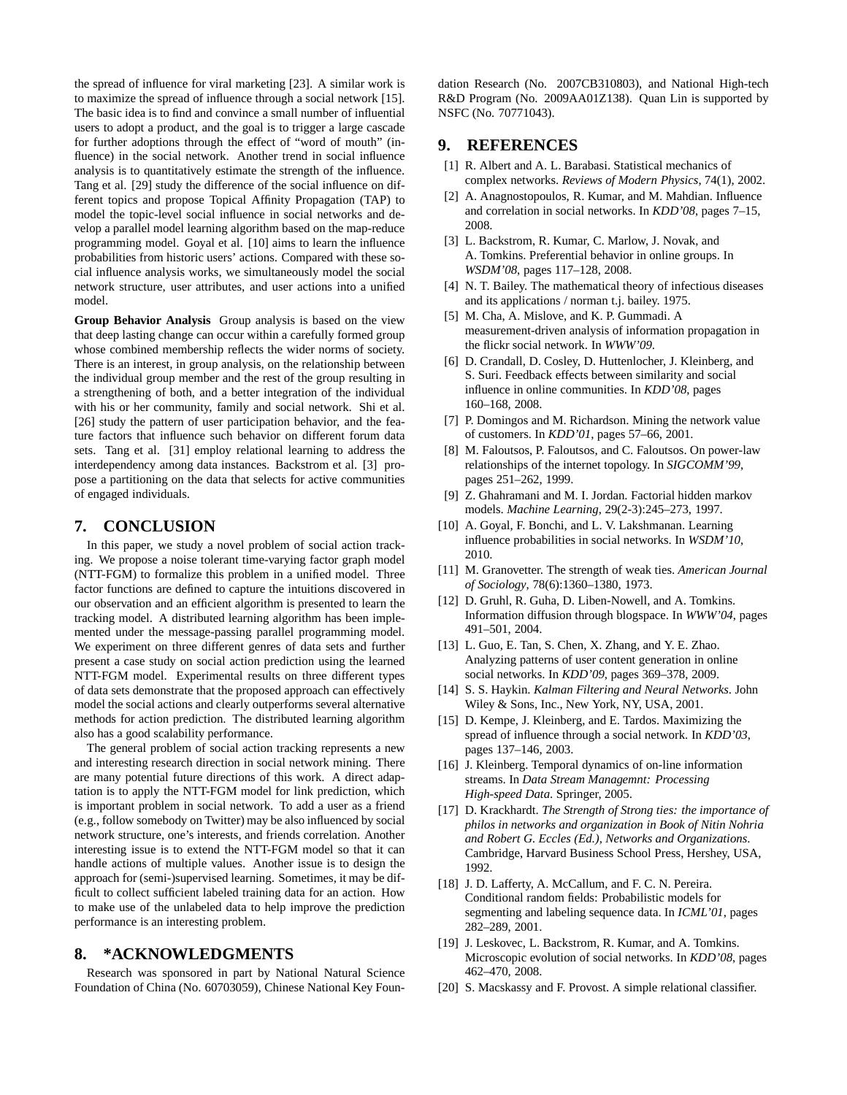the spread of influence for viral marketing [23]. A similar work is to maximize the spread of influence through a social network [15]. The basic idea is to find and convince a small number of influential users to adopt a product, and the goal is to trigger a large cascade for further adoptions through the effect of "word of mouth" (influence) in the social network. Another trend in social influence analysis is to quantitatively estimate the strength of the influence. Tang et al. [29] study the difference of the social influence on different topics and propose Topical Affinity Propagation (TAP) to model the topic-level social influence in social networks and develop a parallel model learning algorithm based on the map-reduce programming model. Goyal et al. [10] aims to learn the influence probabilities from historic users' actions. Compared with these social influence analysis works, we simultaneously model the social network structure, user attributes, and user actions into a unified model.

**Group Behavior Analysis** Group analysis is based on the view that deep lasting change can occur within a carefully formed group whose combined membership reflects the wider norms of society. There is an interest, in group analysis, on the relationship between the individual group member and the rest of the group resulting in a strengthening of both, and a better integration of the individual with his or her community, family and social network. Shi et al. [26] study the pattern of user participation behavior, and the feature factors that influence such behavior on different forum data sets. Tang et al. [31] employ relational learning to address the interdependency among data instances. Backstrom et al. [3] propose a partitioning on the data that selects for active communities of engaged individuals.

#### **7. CONCLUSION**

In this paper, we study a novel problem of social action tracking. We propose a noise tolerant time-varying factor graph model (NTT-FGM) to formalize this problem in a unified model. Three factor functions are defined to capture the intuitions discovered in our observation and an efficient algorithm is presented to learn the tracking model. A distributed learning algorithm has been implemented under the message-passing parallel programming model. We experiment on three different genres of data sets and further present a case study on social action prediction using the learned NTT-FGM model. Experimental results on three different types of data sets demonstrate that the proposed approach can effectively model the social actions and clearly outperforms several alternative methods for action prediction. The distributed learning algorithm also has a good scalability performance.

The general problem of social action tracking represents a new and interesting research direction in social network mining. There are many potential future directions of this work. A direct adaptation is to apply the NTT-FGM model for link prediction, which is important problem in social network. To add a user as a friend (e.g., follow somebody on Twitter) may be also influenced by social network structure, one's interests, and friends correlation. Another interesting issue is to extend the NTT-FGM model so that it can handle actions of multiple values. Another issue is to design the approach for (semi-)supervised learning. Sometimes, it may be difficult to collect sufficient labeled training data for an action. How to make use of the unlabeled data to help improve the prediction performance is an interesting problem.

#### **8. \*ACKNOWLEDGMENTS**

Research was sponsored in part by National Natural Science Foundation of China (No. 60703059), Chinese National Key Foundation Research (No. 2007CB310803), and National High-tech R&D Program (No. 2009AA01Z138). Quan Lin is supported by NSFC (No. 70771043).

#### **9. REFERENCES**

- [1] R. Albert and A. L. Barabasi. Statistical mechanics of complex networks. *Reviews of Modern Physics*, 74(1), 2002.
- [2] A. Anagnostopoulos, R. Kumar, and M. Mahdian. Influence and correlation in social networks. In *KDD'08*, pages 7–15, 2008.
- [3] L. Backstrom, R. Kumar, C. Marlow, J. Novak, and A. Tomkins. Preferential behavior in online groups. In *WSDM'08*, pages 117–128, 2008.
- [4] N. T. Bailey. The mathematical theory of infectious diseases and its applications / norman t.j. bailey. 1975.
- [5] M. Cha, A. Mislove, and K. P. Gummadi. A measurement-driven analysis of information propagation in the flickr social network. In *WWW'09*.
- [6] D. Crandall, D. Cosley, D. Huttenlocher, J. Kleinberg, and S. Suri. Feedback effects between similarity and social influence in online communities. In *KDD'08*, pages 160–168, 2008.
- [7] P. Domingos and M. Richardson. Mining the network value of customers. In *KDD'01*, pages 57–66, 2001.
- [8] M. Faloutsos, P. Faloutsos, and C. Faloutsos. On power-law relationships of the internet topology. In *SIGCOMM'99*, pages 251–262, 1999.
- [9] Z. Ghahramani and M. I. Jordan. Factorial hidden markov models. *Machine Learning*, 29(2-3):245–273, 1997.
- [10] A. Goyal, F. Bonchi, and L. V. Lakshmanan. Learning influence probabilities in social networks. In *WSDM'10*, 2010.
- [11] M. Granovetter. The strength of weak ties. *American Journal of Sociology*, 78(6):1360–1380, 1973.
- [12] D. Gruhl, R. Guha, D. Liben-Nowell, and A. Tomkins. Information diffusion through blogspace. In *WWW'04*, pages 491–501, 2004.
- [13] L. Guo, E. Tan, S. Chen, X. Zhang, and Y. E. Zhao. Analyzing patterns of user content generation in online social networks. In *KDD'09*, pages 369–378, 2009.
- [14] S. S. Haykin. *Kalman Filtering and Neural Networks*. John Wiley & Sons, Inc., New York, NY, USA, 2001.
- [15] D. Kempe, J. Kleinberg, and E. Tardos. Maximizing the spread of influence through a social network. In *KDD'03*, pages 137–146, 2003.
- [16] J. Kleinberg. Temporal dynamics of on-line information streams. In *Data Stream Managemnt: Processing High-speed Data*. Springer, 2005.
- [17] D. Krackhardt. *The Strength of Strong ties: the importance of philos in networks and organization in Book of Nitin Nohria and Robert G. Eccles (Ed.), Networks and Organizations*. Cambridge, Harvard Business School Press, Hershey, USA, 1992.
- [18] J. D. Lafferty, A. McCallum, and F. C. N. Pereira. Conditional random fields: Probabilistic models for segmenting and labeling sequence data. In *ICML'01*, pages 282–289, 2001.
- [19] J. Leskovec, L. Backstrom, R. Kumar, and A. Tomkins. Microscopic evolution of social networks. In *KDD'08*, pages 462–470, 2008.
- [20] S. Macskassy and F. Provost. A simple relational classifier.